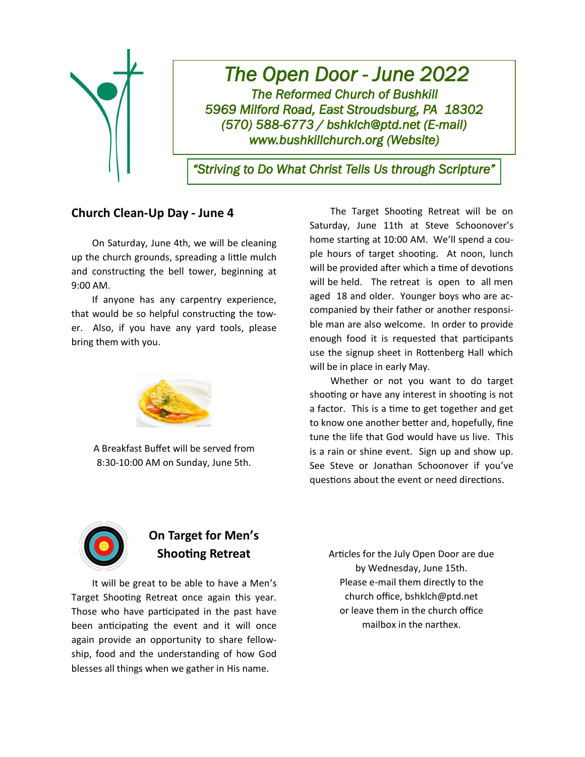

# *The Open Door - June 2022 The Reformed Church of Bushkill 5969 Milford Road, East Stroudsburg, PA 18302 (570) 588-6773 / bshklch@ptd.net (E-mail) www.bushkillchurch.org (Website)*

*"Striving to Do What Christ Tells Us through Scripture"* 

## **Church Clean-Up Day - June 4**

On Saturday, June 4th, we will be cleaning up the church grounds, spreading a little mulch and constructing the bell tower, beginning at 9:00 AM.

If anyone has any carpentry experience, that would be so helpful constructing the tower. Also, if you have any yard tools, please bring them with you.



A Breakfast Buffet will be served from 8:30-10:00 AM on Sunday, June 5th.

The Target Shooting Retreat will be on Saturday, June 11th at Steve Schoonover's home starting at 10:00 AM. We'll spend a couple hours of target shooting. At noon, lunch will be provided after which a time of devotions will be held. The retreat is open to all men aged 18 and older. Younger boys who are accompanied by their father or another responsible man are also welcome. In order to provide enough food it is requested that participants use the signup sheet in Rottenberg Hall which will be in place in early May.

Whether or not you want to do target shooting or have any interest in shooting is not a factor. This is a time to get together and get to know one another better and, hopefully, fine tune the life that God would have us live. This is a rain or shine event. Sign up and show up. See Steve or Jonathan Schoonover if you've questions about the event or need directions.



# **On Target for Men's Shooting Retreat**

It will be great to be able to have a Men's Target Shooting Retreat once again this year. Those who have participated in the past have been anticipating the event and it will once again provide an opportunity to share fellowship, food and the understanding of how God blesses all things when we gather in His name.

Articles for the July Open Door are due by Wednesday, June 15th. Please e-mail them directly to the church office, bshklch@ptd.net or leave them in the church office mailbox in the narthex.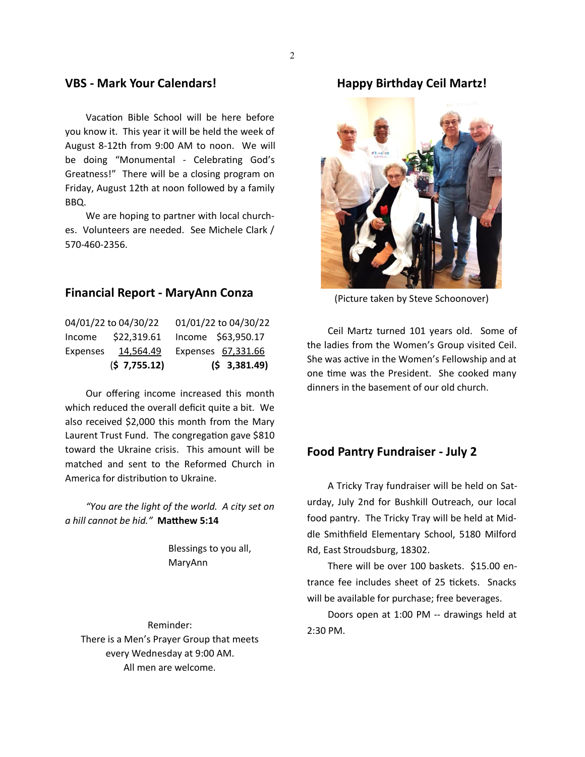### **VBS - Mark Your Calendars!**

Vacation Bible School will be here before you know it. This year it will be held the week of August 8-12th from 9:00 AM to noon. We will be doing "Monumental - Celebrating God's Greatness!" There will be a closing program on Friday, August 12th at noon followed by a family BBQ.

We are hoping to partner with local churches. Volunteers are needed. See Michele Clark / 570-460-2356.

#### **Financial Report - MaryAnn Conza**

|          | (5 7, 755.12)        | $(5 \t3,381.49)$     |
|----------|----------------------|----------------------|
| Expenses | 14,564.49            | Expenses 67,331.66   |
| Income   | \$22,319.61          | Income \$63,950.17   |
|          | 04/01/22 to 04/30/22 | 01/01/22 to 04/30/22 |

Our offering income increased this month which reduced the overall deficit quite a bit. We also received \$2,000 this month from the Mary Laurent Trust Fund. The congregation gave \$810 toward the Ukraine crisis. This amount will be matched and sent to the Reformed Church in America for distribution to Ukraine.

*"You are the light of the world. A city set on a hill cannot be hid."* **Matthew 5:14**

> Blessings to you all, MaryAnn

Reminder: There is a Men's Prayer Group that meets every Wednesday at 9:00 AM. All men are welcome.

#### **Happy Birthday Ceil Martz!**



(Picture taken by Steve Schoonover)

Ceil Martz turned 101 years old. Some of the ladies from the Women's Group visited Ceil. She was active in the Women's Fellowship and at one time was the President. She cooked many dinners in the basement of our old church.

### **Food Pantry Fundraiser - July 2**

A Tricky Tray fundraiser will be held on Saturday, July 2nd for Bushkill Outreach, our local food pantry. The Tricky Tray will be held at Middle Smithfield Elementary School, 5180 Milford Rd, East Stroudsburg, 18302.

There will be over 100 baskets. \$15.00 entrance fee includes sheet of 25 tickets. Snacks will be available for purchase; free beverages.

Doors open at 1:00 PM -- drawings held at 2:30 PM.